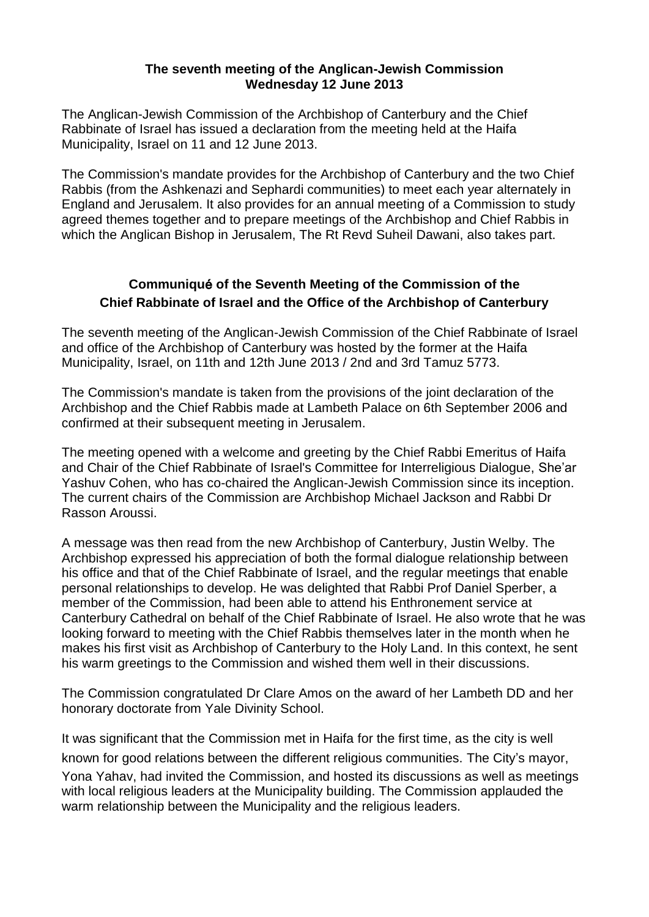## **The seventh meeting of the Anglican-Jewish Commission Wednesday 12 June 2013**

The Anglican-Jewish Commission of the Archbishop of Canterbury and the Chief Rabbinate of Israel has issued a declaration from the meeting held at the Haifa Municipality, Israel on 11 and 12 June 2013.

The Commission's mandate provides for the Archbishop of Canterbury and the two Chief Rabbis (from the Ashkenazi and Sephardi communities) to meet each year alternately in England and Jerusalem. It also provides for an annual meeting of a Commission to study agreed themes together and to prepare meetings of the Archbishop and Chief Rabbis in which the Anglican Bishop in Jerusalem, The Rt Revd Suheil Dawani, also takes part.

## **Communiqu**é **of the Seventh Meeting of the Commission of the Chief Rabbinate of Israel and the Office of the Archbishop of Canterbury**

The seventh meeting of the Anglican-Jewish Commission of the Chief Rabbinate of Israel and office of the Archbishop of Canterbury was hosted by the former at the Haifa Municipality, Israel, on 11th and 12th June 2013 / 2nd and 3rd Tamuz 5773.

The Commission's mandate is taken from the provisions of the joint declaration of the Archbishop and the Chief Rabbis made at Lambeth Palace on 6th September 2006 and confirmed at their subsequent meeting in Jerusalem.

The meeting opened with a welcome and greeting by the Chief Rabbi Emeritus of Haifa and Chair of the Chief Rabbinate of Israel's Committee for Interreligious Dialogue, She'ar Yashuv Cohen, who has co-chaired the Anglican-Jewish Commission since its inception. The current chairs of the Commission are Archbishop Michael Jackson and Rabbi Dr Rasson Aroussi.

A message was then read from the new Archbishop of Canterbury, Justin Welby. The Archbishop expressed his appreciation of both the formal dialogue relationship between his office and that of the Chief Rabbinate of Israel, and the regular meetings that enable personal relationships to develop. He was delighted that Rabbi Prof Daniel Sperber, a member of the Commission, had been able to attend his Enthronement service at Canterbury Cathedral on behalf of the Chief Rabbinate of Israel. He also wrote that he was looking forward to meeting with the Chief Rabbis themselves later in the month when he makes his first visit as Archbishop of Canterbury to the Holy Land. In this context, he sent his warm greetings to the Commission and wished them well in their discussions.

The Commission congratulated Dr Clare Amos on the award of her Lambeth DD and her honorary doctorate from Yale Divinity School.

It was significant that the Commission met in Haifa for the first time, as the city is well known for good relations between the different religious communities. The City's mayor, Yona Yahav, had invited the Commission, and hosted its discussions as well as meetings with local religious leaders at the Municipality building. The Commission applauded the warm relationship between the Municipality and the religious leaders.